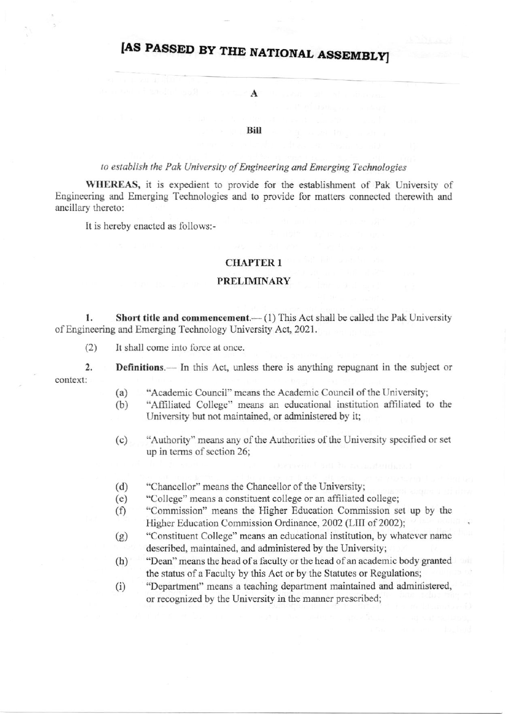# [AS PASSED BY THE NATIONAL ASSEMBLY]

#### $\mathbf{A}$

#### Bill

## to establish the Pak University of Engineering and Emerging Technologies

WHEREAS, it is expedient to provide for the establishment of Pak University of Engineering and Emerging Technologies and to provide for matters connected therewith and ancillary thereto:

It is hereby enacted as follows:-

## **CHAPTER 1**

## **PRELIMINARY**

**Short title and commencement**.— $(1)$  This Act shall be called the Pak University 1. of Engineering and Emerging Technology University Act, 2021.

 $(2)$ It shall come into force at once.

 $\overline{2}$ . **Definitions.**— In this Act, unless there is anything repugnant in the subject or context:

- $(a)$ "Academic Council" means the Academic Council of the University;
- "Affiliated College" means an educational institution affiliated to the  $(b)$ University but not maintained, or administered by it;
- $(c)$ "Authority" means any of the Authorities of the University specified or set up in terms of section 26;
- "Chancellor" means the Chancellor of the University;  $(d)$
- "College" means a constituent college or an affiliated college:  $(e)$
- "Commission" means the Higher Education Commission set up by the  $(f)$ Higher Education Commission Ordinance, 2002 (LIII of 2002);
- "Constituent College" means an educational institution, by whatever name  $(g)$ described, maintained, and administered by the University;
- "Dean" means the head of a faculty or the head of an academic body granted  $(h)$ the status of a Faculty by this Act or by the Statutes or Regulations;
- "Department" means a teaching department maintained and administered,  $(i)$ or recognized by the University in the manner prescribed;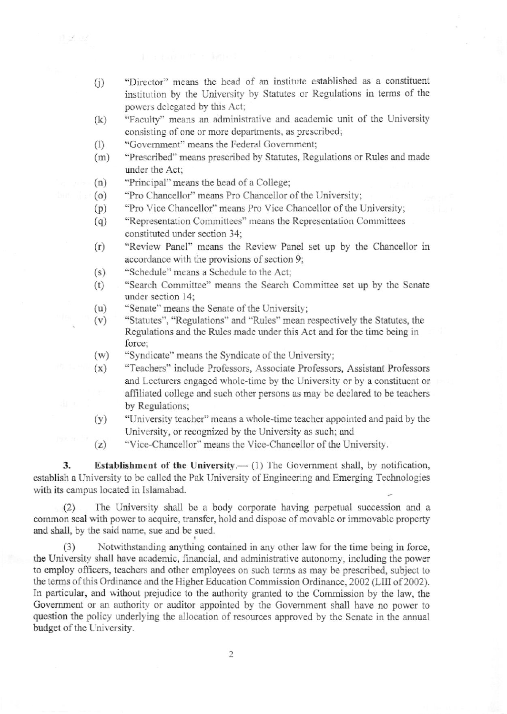- "Director" means the head of an institute established as a constituent  $(i)$ institution by the University by Statutes or Regulations in terms of the powers delegated by this Act;
- "Faculty" means an administrative and academic unit of the University  $(k)$ consisting of one or more departments, as prescribed;
- "Government" means the Federal Government;  $(1)$
- "Prescribed" means prescribed by Statutes, Regulations or Rules and made  $(m)$ under the Act:
- "Principal" means the head of a College;  $(n)$

计送回

- "Pro Chancellor" means Pro Chancellor of the University;  $(o)$
- "Pro Vice Chancellor" means Pro Vice Chancellor of the University;  $(p)$
- "Representation Committees" means the Representation Committees  $(q)$ constituted under section 34;
- "Review Panel" means the Review Panel set up by the Chancellor in  $(r)$ accordance with the provisions of section 9;
- "Schedule" means a Schedule to the Act:  $(s)$
- "Search Committee" means the Search Committee set up by the Senate  $(t)$ under section 14;
- "Senate" means the Senate of the University;  $(u)$
- "Statutes", "Regulations" and "Rules" mean respectively the Statutes, the  $(v)$ Regulations and the Rules made under this Act and for the time being in force:
- "Syndicate" means the Syndicate of the University;  $(w)$
- "Teachers" include Professors, Associate Professors, Assistant Professors  $(x)$ and Lecturers engaged whole-time by the University or by a constituent or affiliated college and such other persons as may be declared to be teachers by Regulations;
- "University teacher" means a whole-time teacher appointed and paid by the  $(y)$ University, or recognized by the University as such; and
- "Vice-Chancellor" means the Vice-Chancellor of the University.  $(z)$

Establishment of the University.- (1) The Government shall, by notification,  $3.$ establish a University to be called the Pak University of Engineering and Emerging Technologies with its campus located in Islamabad.

The University shall be a body corporate having perpetual succession and a  $(2)$ common seal with power to acquire, transfer, hold and dispose of movable or immovable property and shall, by the said name, sue and be sued.

Notwithstanding anything contained in any other law for the time being in force, the University shall have academic, financial, and administrative autonomy, including the power to employ officers, teachers and other employees on such terms as may be prescribed, subject to the terms of this Ordinance and the Higher Education Commission Ordinance, 2002 (LIII of 2002). In particular, and without prejudice to the authority granted to the Commission by the law, the Government or an authority or auditor appointed by the Government shall have no power to question the policy underlying the allocation of resources approved by the Senate in the annual budget of the University.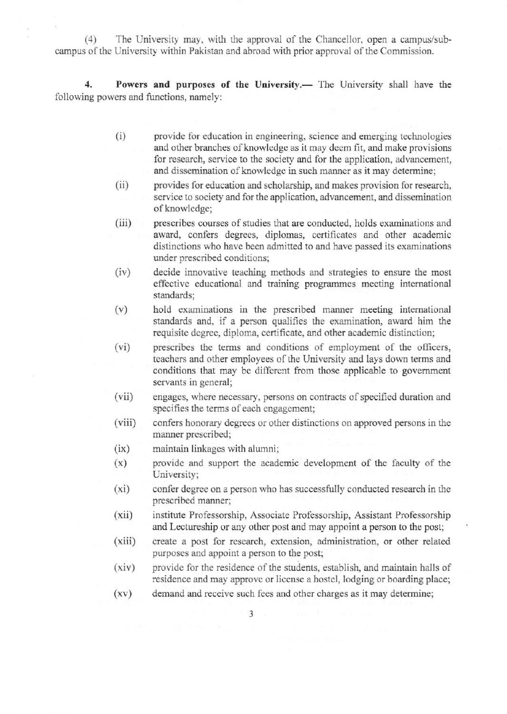(4) The University may, with the approval of the Chancellor, open a campus/subcampus of the University within Pakistan and abroad with prior approval of the Commission.

4. Powers and purposes of the University.- The University shall have the following powers and functions, namely:

- (i) provide for cducation in engineering, science and emerging tcchnologies and other branches of knowledge as it may deem fit, and make provisions for research, service to the society and for the application, advancement, and dissemination of knowledge in such manner as it may determine;
- provides for education and scholarship, and makes provision for research, service to society and for the application, advancement, and dissemination of knowledge;  $(ii)$
- prescribcs courses of studies that are conducted, holds examinations and award, confers degrees, diplomas, certificates and other academic distinctions who have been admitted to and have passed its examinations under prescribed conditions;  $(iii)$
- decide innovative teaching methods and strategies to ensure the most effective educational and training programmes meeting international standards;  $(iv)$
- hold examinations in the prescribed manner meeting international standards and, if a person qualifies the examination, award him the requisite degree, diploma, certificate, and other academic distinction; (v)
- prescribes the terms and conditions of employment of the officers, teachers and other employees of the University and lays down terms and conditions that may be different from those applicable to government servants in general; (vi)
- engages, where necessary, persons on contracts of specified duration and specifies the terms of each engagement; (vii)
- confers honorary degrees or other distinctions on approved persons in the manner prescribed; (viii)
- maintain linkages with alumni;  $(ix)$
- provide and support the academic developmcnt of the faculty of the University; (x)
- confer degree on a person who has successfully conducted research in the prescribed manner; (xi)
- institute Professorship, Associate Professorship, Assistant Professorship and Lectureship or any other post and may appoint a person to the post; (xii)
- create a post for research, extension, administration, or other related purposcs and appoint a person to the post; (xiii)
- provide for the residence of the students, establish, and maintain halls of residence and may approvc or license a hostcl, lodging or boarding place; (xiv)
- demand and receive such fees and other charges as it may determine;  $(xv)$